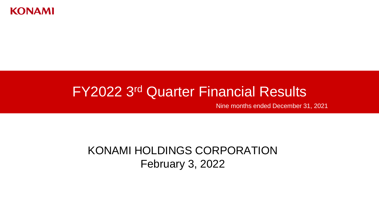

# FY2022 3 rd Quarter Financial Results

Nine months ended December 31, 2021

KONAMI HOLDINGS CORPORATION February 3, 2022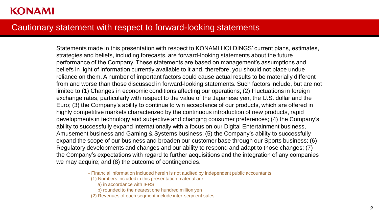#### Cautionary statement with respect to forward-looking statements

Statements made in this presentation with respect to KONAMI HOLDINGS' current plans, estimates, strategies and beliefs, including forecasts, are forward-looking statements about the future performance of the Company. These statements are based on management's assumptions and beliefs in light of information currently available to it and, therefore, you should not place undue reliance on them. A number of important factors could cause actual results to be materially different from and worse than those discussed in forward-looking statements. Such factors include, but are not limited to (1) Changes in economic conditions affecting our operations; (2) Fluctuations in foreign exchange rates, particularly with respect to the value of the Japanese yen, the U.S. dollar and the Euro; (3) the Company's ability to continue to win acceptance of our products, which are offered in highly competitive markets characterized by the continuous introduction of new products, rapid developments in technology and subjective and changing consumer preferences; (4) the Company's ability to successfully expand internationally with a focus on our Digital Entertainment business, Amusement business and Gaming & Systems business; (5) the Company's ability to successfully expand the scope of our business and broaden our customer base through our Sports business; (6) Regulatory developments and changes and our ability to respond and adapt to those changes; (7) the Company's expectations with regard to further acquisitions and the integration of any companies we may acquire; and (8) the outcome of contingencies.

- (1) Numbers included in this presentation material are;
	- a) in accordance with IFRS
	- b) rounded to the nearest one hundred million yen
- (2) Revenues of each segment include inter-segment sales

<sup>-</sup> Financial information included herein is not audited by independent public accountants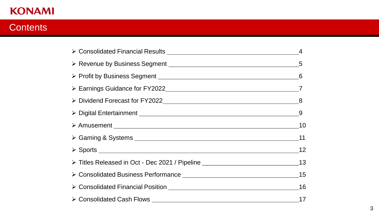### **Contents**

| > Titles Released in Oct - Dec 2021 / Pipeline _________________________________13 |  |
|------------------------------------------------------------------------------------|--|
|                                                                                    |  |
|                                                                                    |  |
|                                                                                    |  |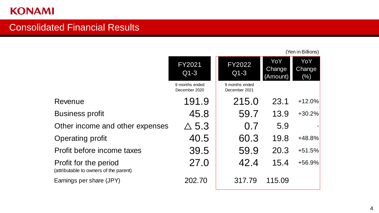### Consolidated Financial Results

|                                                                 |                                 |                                 |                           | (Yen in Billions)    |
|-----------------------------------------------------------------|---------------------------------|---------------------------------|---------------------------|----------------------|
|                                                                 | <b>FY2021</b><br>$Q1-3$         | <b>FY2022</b><br>$Q1-3$         | YoY<br>Change<br>(Amount) | YoY<br>Change<br>(%) |
|                                                                 | 9 months ended<br>December 2020 | 9 months ended<br>December 2021 |                           |                      |
| Revenue                                                         | 191.9                           | 215.0                           | 23.1                      | $+12.0%$             |
| <b>Business profit</b>                                          | 45.8                            | 59.7                            | 13.9                      | $+30.2%$             |
| Other income and other expenses                                 | $\Delta$ 5.3                    | 0.7                             | 5.9                       |                      |
| Operating profit                                                | 40.5                            | 60.3                            | 19.8                      | +48.8%               |
| Profit before income taxes                                      | 39.5                            | 59.9                            | 20.3                      | $+51.5%$             |
| Profit for the period<br>(attributable to owners of the parent) | 27.0                            | 42.4                            | 15.4                      | +56.9%               |
| Earnings per share (JPY)                                        | 202.70                          | 317.79                          | 115.09                    |                      |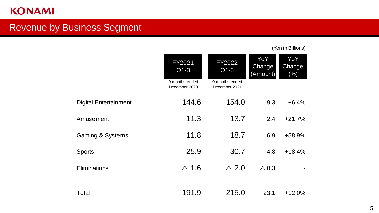### Revenue by Business Segment

|                              | <b>FY2021</b><br>$Q1-3$<br>9 months ended<br>December 2020 | <b>FY2022</b><br>$Q1-3$<br>9 months ended<br>December 2021 | YoY<br>Change<br>(Amount) | YoY<br>Change<br>(% ) |
|------------------------------|------------------------------------------------------------|------------------------------------------------------------|---------------------------|-----------------------|
| <b>Digital Entertainment</b> | 144.6                                                      | 154.0                                                      | 9.3                       | $+6.4%$               |
| Amusement                    | 11.3                                                       | 13.7                                                       | 2.4                       | $+21.7%$              |
| <b>Gaming &amp; Systems</b>  | 11.8                                                       | 18.7                                                       | 6.9                       | +58.9%                |
| <b>Sports</b>                | 25.9                                                       | 30.7                                                       | 4.8                       | $+18.4%$              |
| <b>Eliminations</b>          | $\triangle$ 1.6                                            | $\triangle$ 2.0                                            | $\triangle$ 0.3           |                       |
| <b>Total</b>                 | 191.9                                                      | 215.0                                                      | 23.1                      | $+12.0%$              |

(Yen in Billions)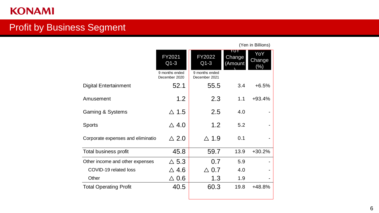### Profit by Business Segment

|                                   | FY2021<br>$Q1-3$                | FY2022<br>$Q1-3$                | YOY<br>Change<br>(Amount | YoY<br>Change<br>$(\%)$ |
|-----------------------------------|---------------------------------|---------------------------------|--------------------------|-------------------------|
|                                   | 9 months ended<br>December 2020 | 9 months ended<br>December 2021 |                          |                         |
| Digital Entertainment             | 52.1                            | 55.5                            | 3.4                      | $+6.5%$                 |
| Amusement                         | 1.2                             | 2.3                             | 1.1                      | $+93.4%$                |
| <b>Gaming &amp; Systems</b>       | $\triangle$ 1.5                 | 2.5                             | 4.0                      |                         |
| Sports                            | $\triangle$ 4.0                 | 1.2                             | 5.2                      |                         |
| Corporate expenses and eliminatio | $\triangle$ 2.0                 | $\triangle$ 1.9                 | 0.1                      |                         |
| <b>Total business profit</b>      | 45.8                            | 59.7                            | 13.9                     | $+30.2%$                |
| Other income and other expenses   | $\triangle$ 5.3                 | 0.7                             | 5.9                      |                         |
| COVID-19 related loss             | $\Delta$ 4.6                    | $\vartriangle$ 0.7              | 4.0                      |                         |
| Other                             | $\Delta$ 0.6                    | 1.3                             | 1.9                      |                         |
| <b>Total Operating Profit</b>     | 40.5                            | 60.3                            | 19.8                     | +48.8%                  |

(Yen in Billions)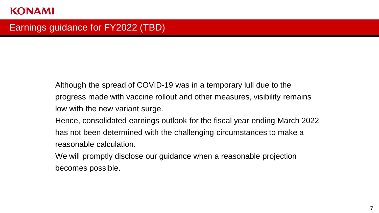### Earnings guidance for FY2022 (TBD)

Although the spread of COVID-19 was in a temporary lull due to the progress made with vaccine rollout and other measures, visibility remains low with the new variant surge.

Hence, consolidated earnings outlook for the fiscal year ending March 2022 has not been determined with the challenging circumstances to make a reasonable calculation.

We will promptly disclose our guidance when a reasonable projection becomes possible.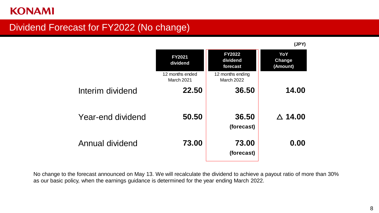### Dividend Forecast for FY2022 (No change)

|                   |                               |                                       | (JPY)                     |
|-------------------|-------------------------------|---------------------------------------|---------------------------|
|                   | <b>FY2021</b><br>dividend     | <b>FY2022</b><br>dividend<br>forecast | YoY<br>Change<br>(Amount) |
|                   | 12 months ended<br>March 2021 | 12 months ending<br><b>March 2022</b> |                           |
| Interim dividend  | 22.50                         | 36.50                                 | 14.00                     |
| Year-end dividend | 50.50                         | 36.50<br>(forecast)                   | $\triangle$ 14.00         |
| Annual dividend   | 73.00                         | 73.00<br>(forecast)                   | 0.00                      |

No change to the forecast announced on May 13. We will recalculate the dividend to achieve a payout ratio of more than 30% as our basic policy, when the earnings guidance is determined for the year ending March 2022.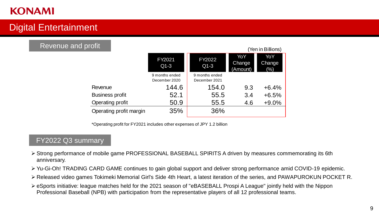### Digital Entertainment

#### Revenue and profit

|                         |                                 |                                 |                           | (Yen in Billions)    |
|-------------------------|---------------------------------|---------------------------------|---------------------------|----------------------|
|                         | FY2021<br>$Q1-3$                | <b>FY2022</b><br>$Q1-3$         | YoY<br>Change<br>(Amount) | YoY<br>Change<br>(%) |
|                         | 9 months ended<br>December 2020 | 9 months ended<br>December 2021 |                           |                      |
| Revenue                 | 144.6                           | 154.0                           | 9.3                       | $+6.4%$              |
| <b>Business profit</b>  | 52.1                            | 55.5                            | 3.4                       | $+6.5%$              |
| <b>Operating profit</b> | 50.9                            | 55.5                            | 4.6                       | $+9.0%$              |
| Operating profit margin | 35%                             | 36%                             |                           |                      |

 $\sim$   $\sim$   $\sim$ 

\*Operating profit for FY2021 includes other expenses of JPY 1.2 billion

- ➢ Strong performance of mobile game PROFESSIONAL BASEBALL SPIRITS A driven by measures commemorating its 6th anniversary.
- ➢ Yu-Gi-Oh! TRADING CARD GAME continues to gain global support and deliver strong performance amid COVID-19 epidemic.
- ➢ Released video games Tokimeki Memorial Girl's Side 4th Heart, a latest iteration of the series, and PAWAPUROKUN POCKET R.
- ➢ eSports initiative: league matches held for the 2021 season of "eBASEBALL Prospi A League" jointly held with the Nippon Professional Baseball (NPB) with participation from the representative players of all 12 professional teams.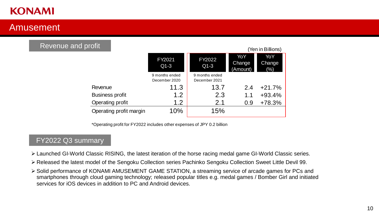### Amusement

#### Revenue and profit

|                                 |                                 |                           | (Yen in Billions)    |
|---------------------------------|---------------------------------|---------------------------|----------------------|
| FY2021<br>$Q1-3$                | FY2022<br>$Q1-3$                | YoY<br>Change<br>(Amount) | YoY<br>Change<br>(%) |
| 9 months ended<br>December 2020 | 9 months ended<br>December 2021 |                           |                      |
| 11.3                            | 13.7                            | 2.4                       | $+21.7%$             |
| 1.2                             | 2.3                             | 1.1                       | $+93.4%$             |
| 1.2                             | 2.1                             | 0.9                       | +78.3%               |
| 10%                             | 15%                             |                           |                      |
|                                 |                                 |                           |                      |

\*Operating profit for FY2022 includes other expenses of JPY 0.2 billion

- ➢ Launched GI-World Classic RISING, the latest iteration of the horse racing medal game GI-World Classic series.
- ➢ Released the latest model of the Sengoku Collection series Pachinko Sengoku Collection Sweet Little Devil 99.
- ➢ Solid performance of KONAMI AMUSEMENT GAME STATION, a streaming service of arcade games for PCs and smartphones through cloud gaming technology; released popular titles e.g. medal games / Bomber Girl and initiated services for iOS devices in addition to PC and Android devices.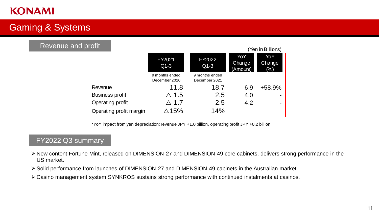### Gaming & Systems

#### Revenue and profit

|                         |                                 |                                 |                           | (Yen in Billions)    |
|-------------------------|---------------------------------|---------------------------------|---------------------------|----------------------|
|                         | FY2021<br>$Q1-3$                | FY2022<br>$Q1-3$                | YoY<br>Change<br>(Amount) | YoY<br>Change<br>(%) |
|                         | 9 months ended<br>December 2020 | 9 months ended<br>December 2021 |                           |                      |
| Revenue                 | 11.8                            | 18.7                            | 6.9                       | +58.9%               |
| <b>Business profit</b>  | $\triangle$ 1.5                 | 2.5                             | 4.0                       |                      |
| Operating profit        | $\triangle$ 1.7                 | 2.5                             | 4.2                       |                      |
| Operating profit margin | $\triangle$ 15%                 | 14%                             |                           |                      |

\*YoY impact from yen depreciation: revenue JPY +1.0 billion, operating profit JPY +0.2 billion

- ➢ New content Fortune Mint, released on DIMENSION 27 and DIMENSION 49 core cabinets, delivers strong performance in the US market.
- ➢ Solid performance from launches of DIMENSION 27 and DIMENSION 49 cabinets in the Australian market.
- ➢ Casino management system SYNKROS sustains strong performance with continued instalments at casinos.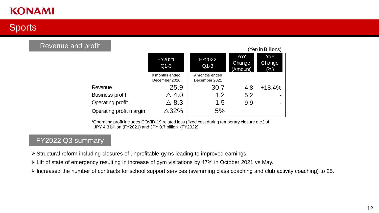### **Sports**

#### Revenue and profit

|                         |                                 |                                 |                           | (Yen in Billions)    |
|-------------------------|---------------------------------|---------------------------------|---------------------------|----------------------|
|                         | FY2021<br>$Q1-3$                | FY2022<br>$Q1-3$                | YoY<br>Change<br>(Amount) | YoY<br>Change<br>(%) |
|                         | 9 months ended<br>December 2020 | 9 months ended<br>December 2021 |                           |                      |
| Revenue                 | 25.9                            | 30.7                            | 4.8                       | $+18.4%$             |
| <b>Business profit</b>  | $\vartriangle$ 4.0              | 1.2                             | 5.2                       |                      |
| Operating profit        | $\vartriangle$ 8.3              | 1.5                             | 9.9                       |                      |
| Operating profit margin | $\triangle 32\%$                | 5%                              |                           |                      |

\*Operating profit includes COVID-19 related loss (fixed cost during temporary closure etc.) of JPY 4.3 billion (FY2021) and JPY 0.7 billion (FY2022)

- ➢ Structural reform including closures of unprofitable gyms leading to improved earnings.
- ➢ Lift of state of emergency resulting in increase of gym visitations by 47% in October 2021 vs May.
- ➢ Increased the number of contracts for school support services (swimming class coaching and club activity coaching) to 25.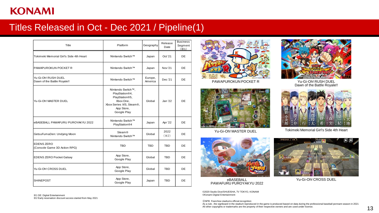### Titles Released in Oct - Dec 2021 / Pipeline(1)

| Platform                                                                                                                    | Geography          | Release<br>Date | <b>Business</b><br>Segment<br>(X1) |
|-----------------------------------------------------------------------------------------------------------------------------|--------------------|-----------------|------------------------------------|
| Nintendo Switch™                                                                                                            | Japan              | Oct '21         | DE                                 |
| Nintendo Switch™                                                                                                            | Japan              | <b>Nov</b> '21  | DE.                                |
| Nintendo Switch™                                                                                                            | Europe,<br>America | Dec '21         | DE                                 |
| Nintendo Switch™,<br>PlayStation®4,<br>PlayStation®5,<br>Xbox One,<br>Xbox Series X/S, Steam®,<br>App Store,<br>Google Play | Global             | <b>Jan '22</b>  | DE                                 |
| Nintendo Switch™<br>PlayStation®4                                                                                           | Japan              | Apr '22         | DE                                 |
| <b>Steam®</b><br>Nintendo Switch™                                                                                           | Global             | 2022<br>$(*2)$  | DE                                 |
| <b>TBD</b>                                                                                                                  | <b>TBD</b>         | <b>TBD</b>      | DE                                 |
| App Store,<br>Google Play                                                                                                   | Global             | <b>TBD</b>      | DE                                 |
| App Store,<br>Google Play                                                                                                   | Global             | <b>TBD</b>      | DE                                 |
| App Store,<br>Google Play                                                                                                   | Japan              | <b>TBD</b>      | DE                                 |
|                                                                                                                             |                    |                 |                                    |

※1 DE: Digital Entertainment ※2 Early reservation discount access started from May 2021



PAWAPUROKUN POCKET R



Yu-Gi-Oh! MASTER DUEL



Yu-Gi-Oh! RUSH DUEL Dawn of the Battle Royale!!



Tokimeki Memorial Girl's Side 4th Heart

OΘ

 $1000 - 84$ .....

Yu-Gi-Oh! CROSS DUEL



eBASEBALL PAWAFURU PUROYAKYU 2022

©2020 Studio Dice/SHUEISHA, TV TOKYO, KONAMI ©Konami Digital Entertainment

ⓒNPB Franchise stadiums official recognition

As a rule , the signboard in the stadium reproduced in the game is produced based on data during the professional baseball pennant season in 2021 All other copyrights or trademarks are the property of their respective owners and are used under license.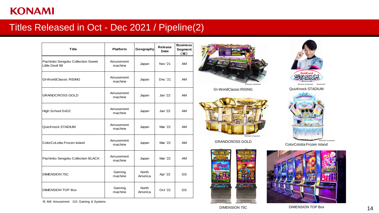### Titles Released in Oct - Dec 2021 / Pipeline(2)

| <b>Title</b>                                         | <b>Platform</b>                              | Geography               | <b>Release</b><br>Date | <b>Business</b><br>Segment<br>$(\divideontimes)$ |
|------------------------------------------------------|----------------------------------------------|-------------------------|------------------------|--------------------------------------------------|
| Pachinko Sengoku Collection Sweet<br>Little Devil 99 | Amusement<br>machine                         | Japan<br>Nov '21        |                        | AM                                               |
| <b>GI-WorldClassic RISING</b>                        | Amusement<br>machine                         | Japan                   | Dec '21                | AM                                               |
| <b>GRANDCROSS GOLD</b>                               | Amusement<br>machine                         | Japan                   |                        | AM                                               |
| High School DxD2                                     | Amusement<br>machine                         | Japan                   |                        | AM                                               |
| QuizKnock STADIUM                                    | Amusement<br>machine                         | Japan                   | Mar '22                | <b>AM</b>                                        |
| ColorCoLotta Frozen Island                           | Amusement<br>machine                         | Japan                   | Mar '22                | AM                                               |
| Pachinko Sengoku Collection BLACK                    | Amusement<br>Japan<br>machine                |                         | Mar '22                | AM                                               |
| <b>DIMENSION 75C</b>                                 | Gaming<br><b>North</b><br>machine<br>America |                         | Apr '22                | GS                                               |
| <b>DIMENSION TOP Box</b>                             | Gaming<br>machine                            | <b>North</b><br>America | Oct '22                | GS                                               |



GI-WorldClassic RISING



GRANDCROSS GOLD





ⒸKonami Amusement QuizKnock®

QuizKnock STADIUM



ColorColotta Frozen Island

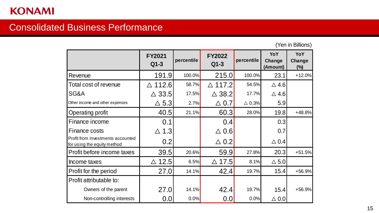### Consolidated Business Performance

(Yen in Billions)

|                                                                  | <b>FY2021</b><br>$Q1-3$ | percentile | <b>FY2022</b><br>$Q1-3$ | percentile       | YoY<br>Change<br>(Amount) | YoY<br>Change<br>$(\%)$ |
|------------------------------------------------------------------|-------------------------|------------|-------------------------|------------------|---------------------------|-------------------------|
| Revenue                                                          | 191.9                   | 100.0%     | 215.0                   | 100.0%           | 23.1                      | $+12.0%$                |
| Total cost of revenue                                            | $\triangle$ 112.6       | 58.7%      | $\triangle$ 117.2       | 54.5%            | $\triangle$ 4.6           |                         |
| SG&A                                                             | $\triangle$ 33.5        | 17.5%      | $\triangle$ 38.2        | 17.7%            | $\triangle$ 4.6           |                         |
| Other income and other expenses                                  | $\Delta$ 5.3            | 2.7%       | $\triangle$ 0.7         | $\triangle$ 0.3% | 5.9                       |                         |
| <b>Operating profit</b>                                          | 40.5                    | 21.1%      | 60.3                    | 28.0%            | 19.8                      | $+48.8%$                |
| Finance income                                                   | 0.1                     |            | 0.4                     |                  | 0.3                       |                         |
| <b>Finance costs</b>                                             | 1.3<br>$\triangle$      |            | $\triangle$ 0.6         |                  | 0.7                       |                         |
| Profit from investments accounted<br>for using the equity method | 0.2                     |            | $\triangle$ 0.2         |                  | $\triangle$ 0.4           |                         |
| Profit before income taxes                                       | 39.5                    | 20.6%      | 59.9                    | 27.8%            | 20.3                      | $+51.5%$                |
| Income taxes                                                     | $\triangle$ 12.5        | 6.5%       | $\triangle$ 17.5        | 8.1%             | $\triangle$ 5.0           |                         |
| Profit for the period                                            | 27.0                    | 14.1%      | 42.4                    | 19.7%            | 15.4                      | +56.9%                  |
| Profit attributable to:                                          |                         |            |                         |                  |                           |                         |
| Owners of the parent                                             | 27.0                    | 14.1%      | 42.4                    | 19.7%            | 15.4                      | $+56.9%$                |
| Non-controlling interests                                        | 0.0                     | 0.0%       | 0.0                     | 0.0%             | $\triangle$ 0.0           |                         |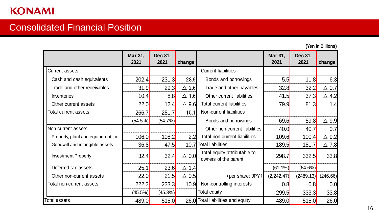### Consolidated Financial Position

**(Yen in Billions)**

|                                    | Mar 31,<br>2021 | Dec 31,<br>2021 | change          |                                                      | Mar 31,<br>2021 | Dec 31,<br>2021 | change          |
|------------------------------------|-----------------|-----------------|-----------------|------------------------------------------------------|-----------------|-----------------|-----------------|
| <b>Current assets</b>              |                 |                 |                 | <b>Current liabilities</b>                           |                 |                 |                 |
| Cash and cash equivalents          | 202.4           | 231.3           | 28.9            | Bonds and borrowings                                 | 5.5             | 11.8            | 6.3             |
| Trade and other receivables        | 31.9            | 29.3            | $\triangle$ 2.6 | Trade and other payables                             | 32.8            | 32.2            | $\triangle$ 0.7 |
| Inventories                        | 10.4            | 8.8             | $\Delta$ 1.6    | Other current liabilities                            | 41.5            | 37.3            | $\triangle$ 4.2 |
| Other current assets               | 22.0            | 12.4            | $\triangle$ 9.6 | <b>Total current liabilities</b>                     | 79.9            | 81.3            | 1.4             |
| Total current assets               | 266.7           | 281.7           | 15.1            | Non-current liabilities                              |                 |                 |                 |
|                                    | (54.5%)         | (54.7%)         |                 | Bonds and borrowings                                 | 69.6            | 59.8            | $\triangle$ 9.9 |
| Non-current assets                 |                 |                 |                 | Other non-current liabilities                        | 40.0            | 40.7            | 0.7             |
| Property, plant and equipment, net | 106.0           | 108.2           | 2.2             | Total non-current liabilities                        | 109.6           | 100.4           | $\triangle$ 9.2 |
| Goodwill and intangible assets     | 36.8            | 47.5            |                 | 10.7 Total liabilities                               | 189.5           | 181.7           | $\triangle$ 7.8 |
| <b>Investment Property</b>         | 32.4            | 32.4            | $\triangle$ 0.0 | Total equity attributable to<br>owners of the parent | 298.7           | 332.5           | 33.8            |
| Deferred tax assets                | 25.1            | 23.6            | $\triangle$ 1.4 |                                                      | $(61.1\%)$      | $(64.6\%)$      |                 |
| Other non-current assets           | 22.0            | 21.5            | $\triangle$ 0.5 | (per share: $JPY$ )                                  | (2, 242.47)     | (2489.13)       | (246.66)        |
| Total non-current assets           | 222.3           | 233.3           | 10.9            | Non-controlling interests                            | 0.8             | 0.8             | 0.0             |
|                                    | $(45.5\%)$      | $(45.3\%)$      |                 | Total equity                                         | 299.5           | 333.3           | 33.8            |
| Total assets                       | 489.0           | 515.0           |                 | 26.0 Total liabilities and equity                    | 489.0           | 515.0           | 26.0            |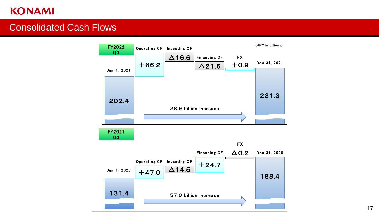### Consolidated Cash Flows